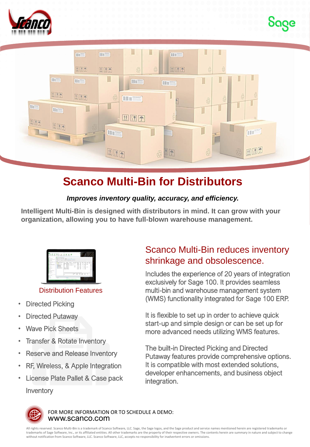





## **Scanco Multi-Bin for Distributors**

#### *Improves inventory quality, accuracy, and efficiency.*

**Intelligent Multi-Bin is designed with distributors in mind. It can grow with your organization, allowing you to have full-blown warehouse management.** 



#### Distribution Features

- **Directed Picking**
- **Directed Putaway**
- Wave Pick Sheets
- **Transfer & Rotate Inventory**
- Reserve and Release Inventory
- RF, Wireless, & Apple Integration
- License Plate Pallet & Case pack **Inventory**

### Scanco Multi-Bin reduces inventory shrinkage and obsolescence.

Includes the experience of 20 years of integration exclusively for Sage 100. It provides seamless multi-bin and warehouse management system (WMS) functionality integrated for Sage 100 ERP.

It is flexible to set up in order to achieve quick start-up and simple design or can be set up for more advanced needs utilizing WMS features.

The built-in Directed Picking and Directed Putaway features provide comprehensive options. It is compatible with most extended solutions, developer enhancements, and business object integration.



www.scanco.com FOR MORE INFORMATION OR TO SCHEDULE A DEMO:

All rights reserved. Scanco Multi-Bin is a trademark of Scanco Software, LLC. Sage, the Sage logos, and the Sage product and service names mentioned herein are registered trademarks or trademarks of Sage Software, Inc., or its affiliated entities. All other trademarks are the property of their respective owners. The contents herein are summary in nature and subject to change without notification from Scanco Software, LLC. Scanco Software, LLC, accepts no responsibility for inadvertent errors or omissions.